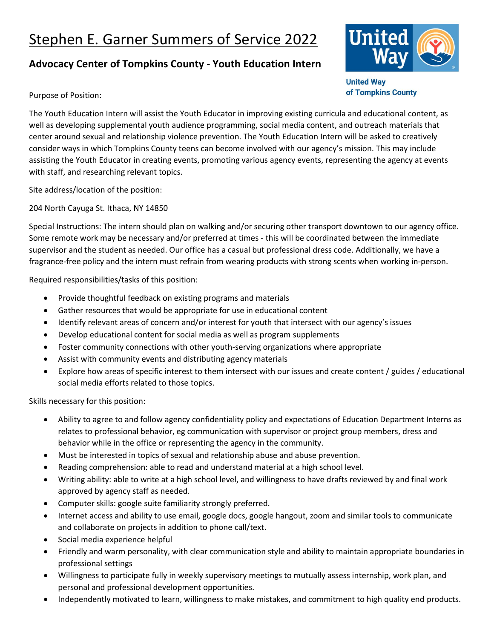## Stephen E. Garner Summers of Service 2022

## **Advocacy Center of Tompkins County - Youth Education Intern**



**United Way** of Tompkins County

Purpose of Position:

The Youth Education Intern will assist the Youth Educator in improving existing curricula and educational content, as well as developing supplemental youth audience programming, social media content, and outreach materials that center around sexual and relationship violence prevention. The Youth Education Intern will be asked to creatively consider ways in which Tompkins County teens can become involved with our agency's mission. This may include assisting the Youth Educator in creating events, promoting various agency events, representing the agency at events with staff, and researching relevant topics.

Site address/location of the position:

204 North Cayuga St. Ithaca, NY 14850

Special Instructions: The intern should plan on walking and/or securing other transport downtown to our agency office. Some remote work may be necessary and/or preferred at times - this will be coordinated between the immediate supervisor and the student as needed. Our office has a casual but professional dress code. Additionally, we have a fragrance-free policy and the intern must refrain from wearing products with strong scents when working in-person.

Required responsibilities/tasks of this position:

- Provide thoughtful feedback on existing programs and materials
- Gather resources that would be appropriate for use in educational content
- Identify relevant areas of concern and/or interest for youth that intersect with our agency's issues
- Develop educational content for social media as well as program supplements
- Foster community connections with other youth-serving organizations where appropriate
- Assist with community events and distributing agency materials
- Explore how areas of specific interest to them intersect with our issues and create content / guides / educational social media efforts related to those topics.

Skills necessary for this position:

- Ability to agree to and follow agency confidentiality policy and expectations of Education Department Interns as relates to professional behavior, eg communication with supervisor or project group members, dress and behavior while in the office or representing the agency in the community.
- Must be interested in topics of sexual and relationship abuse and abuse prevention.
- Reading comprehension: able to read and understand material at a high school level.
- Writing ability: able to write at a high school level, and willingness to have drafts reviewed by and final work approved by agency staff as needed.
- Computer skills: google suite familiarity strongly preferred.
- Internet access and ability to use email, google docs, google hangout, zoom and similar tools to communicate and collaborate on projects in addition to phone call/text.
- Social media experience helpful
- Friendly and warm personality, with clear communication style and ability to maintain appropriate boundaries in professional settings
- Willingness to participate fully in weekly supervisory meetings to mutually assess internship, work plan, and personal and professional development opportunities.
- Independently motivated to learn, willingness to make mistakes, and commitment to high quality end products.